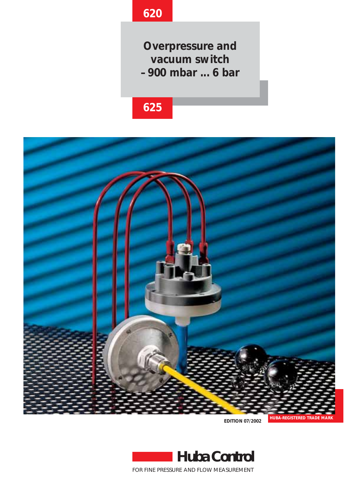# **620**

**Overpressure and vacuum switch –900 mbar ... 6 bar**

# **625**



**EDITION 07/2002**



FOR FINE PRESSURE AND FLOW MEASUREMENT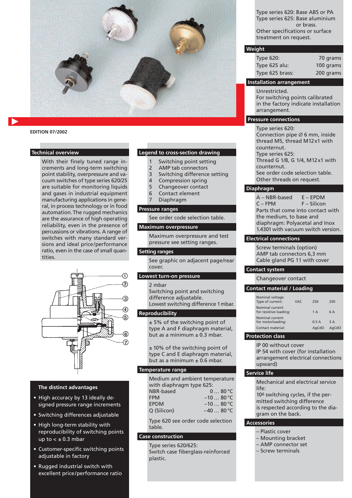

# **EDITION 07/2002**

# **Technical overview**

With their finely tuned range increments and long-term switching point stability, overpressure and vacuum switches of type series 620/25 are suitable for monitoring liquids and gases in industrial equipment manufacturing applications in general, in process technology or in food automation.The rugged mechanics are the assurance of high operating reliability, even in the presence of percussions or vibrations. A range of switches with many standard versions and ideal price/performance ratio, even in the case of small quantities.



# **The distinct advantages**

- **•** High accuracy by 13 ideally designed pressure range increments
- Switching differences adjustable
- High long-term stability with reproducibility of switching points up to  $< \pm 0.3$  mbar
- Customer-specific switching points adjustable in factory
- Rugged industrial switch with excellent price/performance ratio

# **Legend to cross-section drawing**

- 1 Switching point setting
- 2 AMP tab connectors
- 3 Switching difference setting
- 4 Compression spring
- 5 Changeover contact
- 6 Contact element
- 7 Diaphragm

#### **Pressure ranges**

See order code selection table.

#### **Maximum overpressure**

Maximum overpressure and test pressure see setting ranges.

#### **Setting ranges**

See graphic on adjacent page/rear cover.

# **Lowest turn-on pressure**

2 mbar

Switching point and switching difference adjustable. Lowest switching difference 1mbar.

# **Reproducibility**

± 5% of the switching point of type A and F diaphragm material, but as a minimum  $\pm$  0.3 mbar.

± 10% of the switching point of type C and E diaphragm material, but as a minimum  $\pm$  0.6 mbar.

#### **Temperature range**

Medium and ambient temperature with diaphragm type 625: NBR-based 0 … 80 °C FPM  $-10...80 °C$ EPDM –10 ... 80 °C Q (Silicon) –40 … 80 °C

Type 620 see order code selection table.

# **Case construction**

Type series 620/625: Switch case fiberglass-reinforced plastic.

Type series 620: Base ABS or PA Type series 625: Base aluminium or brass. Other specifications or surface treatment on request.

# **Weight**

| <b>Type 620:</b> | 70 grams  |
|------------------|-----------|
| Type 625 alu:    | 100 grams |
| Type 625 brass:  | 200 grams |

# **Installation arrangement**

Unrestricted. For switching points calibrated in the factory indicate installation arrangement.

# **Pressure connections**

Type series 620: Connection pipe Ø 6 mm, inside thread M5, thread M12x1 with counternut. Type series 625: Thread G 1/8, G 1/4, M12x1 with counternut. See order code selection table. Other threads on request.

#### **Diaphragm**

A – NBR-based E – EPDM C – FPM F – Silicon Parts that come into contact with the medium, to base and diaphragm: Polyacetal and Inox 1.4301 with vacuum switch version.

#### **Electrical connections**

Screw terminals (option) AMP tab connectors 6,3 mm Cable gland PG 11 with cover

### **Contact system**

Changeover contact

#### **Contact material / Loading**

| Nominal current<br>for resistive loading:<br>1A |       |
|-------------------------------------------------|-------|
|                                                 | 6 A   |
| Nominal current<br>for motorloading:<br>05A     | 3 A   |
| Contact material:<br>AaCdO                      | AaCdO |

# **Protection class**

IP 00 without cover IP 54 with cover (for installation arrangement electrical connections upward)

#### **Service life**

Mechanical and electrical service life:

106 switching cycles, if the permitted switching difference is respected according to the diagram on the back.

### **Accessories**

- Plastic cover
- Mounting bracket
- AMP connector set
- Screw terminals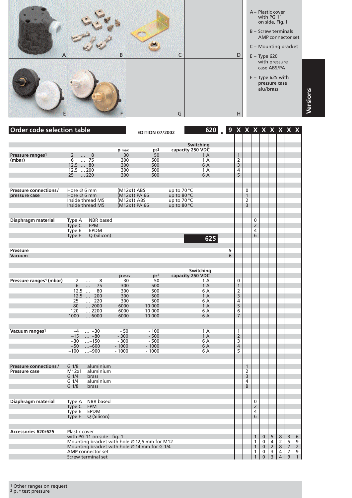

| <b>Order code selection table</b>              |                                                                           |               | <b>EDITION 07/2002</b> |                  | 620       |        |                     |                   |                     |                            |                     |                                  | 9 X X X X X X X X                |                     |
|------------------------------------------------|---------------------------------------------------------------------------|---------------|------------------------|------------------|-----------|--------|---------------------|-------------------|---------------------|----------------------------|---------------------|----------------------------------|----------------------------------|---------------------|
|                                                |                                                                           |               |                        |                  | Switching |        |                     |                   |                     |                            |                     |                                  |                                  |                     |
|                                                |                                                                           | p max         | pt <sup>2</sup>        | capacity 250 VDC |           |        |                     |                   |                     |                            |                     |                                  |                                  |                     |
| Pressure ranges <sup>1</sup>                   | $2^{\circ}$<br>8<br>$\cdots$                                              | 30            | 50                     |                  | 1 A       |        | $\mathbf{1}$        |                   |                     |                            |                     |                                  |                                  |                     |
| (mbar)                                         | 6<br>$\overline{.75}$                                                     | 300           | 500                    |                  | 1 A       |        | 2                   |                   |                     |                            |                     |                                  |                                  |                     |
|                                                | 12.5  80                                                                  | 300           | 500                    |                  | 6 A       |        | 3                   |                   |                     |                            |                     |                                  |                                  |                     |
|                                                | 12.5  200                                                                 | 300           | 500                    |                  | 1 A       |        | 4                   |                   |                     |                            |                     |                                  |                                  |                     |
|                                                | $\dots$ 220<br>25 <sup>2</sup>                                            | 300           | 500                    |                  | 6 A       |        | 5                   |                   |                     |                            |                     |                                  |                                  |                     |
|                                                |                                                                           |               |                        |                  |           |        |                     |                   |                     |                            |                     |                                  |                                  |                     |
| <b>Pressure connections/</b>                   | Hose $\varnothing$ 6 mm                                                   | (M12x1) ABS   |                        | up to $70 °C$    |           |        |                     | 0                 |                     |                            |                     |                                  |                                  |                     |
| pressure case                                  | Hose Ø 6 mm                                                               | (M12x1) PA 66 |                        | up to 80 °C      |           |        |                     | $\mathbf{1}$      |                     |                            |                     |                                  |                                  |                     |
|                                                | Inside thread M5                                                          | $(M12x1)$ ABS |                        | up to 70 °C      |           |        |                     | 2                 |                     |                            |                     |                                  |                                  |                     |
|                                                | Inside thread M5                                                          | (M12x1) PA 66 |                        | up to 80 °C      |           |        |                     | 3                 |                     |                            |                     |                                  |                                  |                     |
|                                                |                                                                           |               |                        |                  |           |        |                     |                   |                     |                            |                     |                                  |                                  |                     |
| Diaphragm material                             | <b>NBR</b> based<br>Type A                                                |               |                        |                  |           |        |                     |                   | 0                   |                            |                     |                                  |                                  |                     |
|                                                | <b>FPM</b><br>Type C                                                      |               |                        |                  |           |        |                     |                   | $\overline{2}$      |                            |                     |                                  |                                  |                     |
|                                                | Type E<br><b>EPDM</b>                                                     |               |                        |                  |           |        |                     |                   | 4                   |                            |                     |                                  |                                  |                     |
|                                                | Type F<br>Q (Silicon)                                                     |               |                        |                  | 625       |        |                     |                   | 6                   |                            |                     |                                  |                                  |                     |
|                                                |                                                                           |               |                        |                  |           |        |                     |                   |                     |                            |                     |                                  |                                  |                     |
|                                                |                                                                           |               |                        |                  |           |        |                     |                   |                     |                            |                     |                                  |                                  |                     |
| <b>Pressure</b><br><b>Vacuum</b>               |                                                                           |               |                        |                  |           | 9<br>6 |                     |                   |                     |                            |                     |                                  |                                  |                     |
|                                                |                                                                           |               |                        |                  |           |        |                     |                   |                     |                            |                     |                                  |                                  |                     |
|                                                |                                                                           |               |                        |                  |           |        |                     |                   |                     |                            |                     |                                  |                                  |                     |
|                                                |                                                                           |               |                        |                  | Switching |        |                     |                   |                     |                            |                     |                                  |                                  |                     |
|                                                |                                                                           | p max         | pt <sup>2</sup>        | capacity 250 VDC |           |        |                     |                   |                     |                            |                     |                                  |                                  |                     |
| Pressure ranges <sup>1</sup> (mbar)            | 8<br>2<br>$\ldots$                                                        | 30            | 50                     |                  | 1 A       |        | 0                   |                   |                     |                            |                     |                                  |                                  |                     |
|                                                | 75<br>6<br>$\ddotsc$<br>80<br>$12.5$                                      | 300<br>300    | 500<br>500             |                  | 1A<br>6 A |        | $\mathbf{1}$<br>2   |                   |                     |                            |                     |                                  |                                  |                     |
|                                                | $12.5$<br>200                                                             | 300           | 500                    |                  | 1A        |        | 3                   |                   |                     |                            |                     |                                  |                                  |                     |
|                                                | 25<br>$\ldots$ 220                                                        | 300           | 500                    |                  | 6 A       |        | 4                   |                   |                     |                            |                     |                                  |                                  |                     |
|                                                | $$ 2000<br>80                                                             | 6000          | 10 000                 |                  | 1 A       |        | 5                   |                   |                     |                            |                     |                                  |                                  |                     |
|                                                | 120<br>2200                                                               | 6000          | 10 000                 |                  | 6 A       |        | 6                   |                   |                     |                            |                     |                                  |                                  |                     |
|                                                | 1000<br>6000                                                              | 6000          | 10 000                 |                  | 6 A       |        | $\overline{7}$      |                   |                     |                            |                     |                                  |                                  |                     |
|                                                |                                                                           |               |                        |                  |           |        |                     |                   |                     |                            |                     |                                  |                                  |                     |
|                                                |                                                                           | $-50$         | $-100$                 |                  | 1A        |        |                     |                   |                     |                            |                     |                                  |                                  |                     |
| Vacuum ranges <sup>1</sup>                     | $\dots -30$<br>$-4$<br>$-15$<br>$ -80$                                    | $-300$        | $-500$                 |                  | 1 A       |        | 1<br>$\overline{2}$ |                   |                     |                            |                     |                                  |                                  |                     |
|                                                | $-30$<br>$\dots - 150$                                                    | $-300$        | $-500$                 |                  | 6 A       |        | 3                   |                   |                     |                            |                     |                                  |                                  |                     |
|                                                | $-50$<br>$ - 600$                                                         | $-1000$       | $-1000$                |                  | 6 A       |        | $\overline{4}$      |                   |                     |                            |                     |                                  |                                  |                     |
|                                                | $-100$<br>$ - 900$                                                        | $-1000$       | $-1000$                |                  | 6 A       |        | 5                   |                   |                     |                            |                     |                                  |                                  |                     |
|                                                |                                                                           |               |                        |                  |           |        |                     |                   |                     |                            |                     |                                  |                                  |                     |
|                                                | G 1/8                                                                     |               |                        |                  |           |        |                     |                   |                     |                            |                     |                                  |                                  |                     |
| <b>Pressure connections /</b><br>Pressure case | aluminium<br>aluminium<br>M12x1                                           |               |                        |                  |           |        |                     | $\mathbf{1}$<br>2 |                     |                            |                     |                                  |                                  |                     |
|                                                | G <sub>1/4</sub><br>brass                                                 |               |                        |                  |           |        |                     | 3                 |                     |                            |                     |                                  |                                  |                     |
|                                                | G 1/4<br>aluminium                                                        |               |                        |                  |           |        |                     | 4                 |                     |                            |                     |                                  |                                  |                     |
|                                                | G 1/8<br>brass                                                            |               |                        |                  |           |        |                     | B                 |                     |                            |                     |                                  |                                  |                     |
|                                                |                                                                           |               |                        |                  |           |        |                     |                   |                     |                            |                     |                                  |                                  |                     |
|                                                | <b>NBR</b> based                                                          |               |                        |                  |           |        |                     |                   | 0                   |                            |                     |                                  |                                  |                     |
| Diaphragm material                             | Type A                                                                    |               |                        |                  |           |        |                     |                   |                     |                            |                     |                                  |                                  |                     |
|                                                | Type C<br><b>FPM</b><br><b>EPDM</b><br>Type E                             |               |                        |                  |           |        |                     |                   | $\overline{2}$<br>4 |                            |                     |                                  |                                  |                     |
|                                                | Q (Silicon)<br>Type F                                                     |               |                        |                  |           |        |                     |                   | 6                   |                            |                     |                                  |                                  |                     |
|                                                |                                                                           |               |                        |                  |           |        |                     |                   |                     |                            |                     |                                  |                                  |                     |
|                                                |                                                                           |               |                        |                  |           |        |                     |                   |                     |                            |                     |                                  |                                  |                     |
| Accessories 620/625                            | Plastic cover                                                             |               |                        |                  |           |        |                     |                   |                     |                            |                     |                                  |                                  |                     |
|                                                | with PG 11 on side fig. 1<br>Mounting bracket with hole Ø 12,5 mm for M12 |               |                        |                  |           |        |                     |                   | $\mathbf{1}$        | $\mathbf 0$<br>$\mathbf 0$ | 5<br>$\overline{4}$ | $8\phantom{.}$<br>$\overline{2}$ | $\overline{3}$<br>$\overline{5}$ | 6<br>$\overline{9}$ |
|                                                | Mounting bracket with hole Ø 14 mm for G 1/4                              |               |                        |                  |           |        |                     |                   | 1<br>$\mathbf{1}$   | $\mathbf 0$                | $\overline{2}$      | $\bf 8$                          | $\overline{7}$                   | $\overline{2}$      |
|                                                | AMP connector set                                                         |               |                        |                  |           |        |                     |                   | 1                   | 0                          | 3                   | 4                                | $\overline{7}$                   | 9                   |
|                                                | Screw terminal set                                                        |               |                        |                  |           |        |                     |                   |                     | $\mathbf{0}$               | 3                   | $\overline{4}$                   | $9\phantom{.0}$                  | $\mathbf{1}$        |